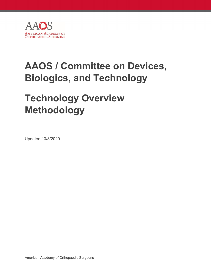

# **AAOS / Committee on Devices, Biologics, and Technology**

# **Technology Overview Methodology**

Updated 10/3/2020

American Academy of Orthopaedic Surgeons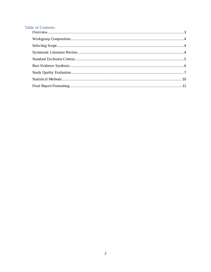# **Table of Contents**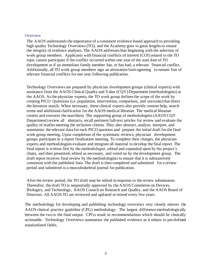#### <span id="page-2-0"></span>**Overview**

The AAOS understands the importance of a consistent evidence-based approach to providing high quality Technology Overviews (TO), and the Academy goes to great lengths to ensure the integrity of evidence analyses. The AAOS addresses bias beginning with the selection of work group members. Applicants with financial conflicts of interest (COI) related to the TO topic cannot participate if the conflict occurred within one year of the start date of TO development or if an immediate family member has, or has had, a relevant financial conflict. Additionally, all TO work group members sign an attestation form agreeing to remain free of relevant financial conflicts for one year following publication.

Technology Overviews are prepared by physician development groups (clinical experts) with assistance from the AAOS Clinical Quality and Value (CQV) Department (methodologists) at the AAOS. Asthe physician experts, the TO work group definesthe scope of the work by creating PICO Questions (i.e. population, intervention, comparison, and outcome) that direct the literature search. When necessary, these clinical experts also provide content help, search terms and additional clarification for the AAOS medical librarian. The medical librarian creates and executes the search(es). The supporting group of methodologists(AAOS CQV Department) review all abstracts, recall pertinent full-text articles for review and evaluate the quality of studies meeting the inclusion criteria. They also abstract, analyze, interpret, and summarize the relevant data for each PICO question and prepare the initial draft for the final work group meeting. Upon completion of the systematic reviews, physician development groups participate in a report finalization meeting. To complete their charges, the physician experts and methodologists evaluate and integrate all material to develop the final report. The final report is written first by the methodologist, edited and expanded upon by the project's chairs, and then presented, edited as necessary, and voted on by the development group. The draft report receives final review by the methodologiststo ensure that it is substantively consistent with the published data. The draft is then completed and submitted for a review period and submitted to a musculoskeletal journal for publication.

After the review period, the TO draft may be edited in response to the review submissions. Thereafter, the draft TO is sequentially approved by the AAOS Committee on Devices, Biologics, and Technology, AAOS Council on Research and Quality, and the AAOS Board of Directors. All AAOS TO are reviewed and updated or retired every five years.

The methodology for developing and publishing technology overviews very closely mirrors the AAOS clinical practice guideline (CPG) methodology. The largest difference methodologically between the two is the final output. CPGs result in recommendations which should be clinically actionable. Technology Overviews summarize the published evidence as it relates to pre-defined standardized fields.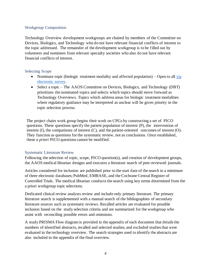# <span id="page-3-0"></span>Workgroup Composition

Technology Overview development workgroups are chaired by members of the Committee on Devices, Biologics, and Technology who do not have relevant financial conflicts of interest to the topic addressed. The remainder of the development workgroup is to be filled out by volunteers and nominees from relevant specialty societies who also do not have relevant financial conflicts of interest.

### <span id="page-3-1"></span>Selecting Scope

- Nominate topic (biologic treatment modality and affected population) Open to all via [electronic survey.](https://form.jotform.com/202583872639163)
- Select a topic The AAOS Committee on Devices, Biologics, and Technology (DBT) prioritizes the nominated topics and selects which topics should move forward as Technology Overviews. Topics which address areas for biologic treatment modalities where regulatory guidance may be interpreted as unclear will be given priority in the topic selection process.

The project chairs work group begins their work on CPGs by constructing a set of PICO questions. These questions specify the patient population of interest (P), the intervention of interest (I), the comparisons of interest (C), and the patient-oriented outcomes of interest (O). They function as questions for the systematic review, not as conclusions. Once established, these *a priori* PICO questions cannot be modified.

## <span id="page-3-2"></span>Systematic Literature Review

Following the selection of topic, scope, PICO question(s), and creation of development groups, the AAOS medical librarian designs and executes a literature search of peer-reviewed journals.

Articles considered for inclusion are published prior to the start date of the search in a minimum of three electronic databases; PubMed, EMBASE, and the Cochrane Central Register of Controlled Trials. The medical librarian conducts the search using key terms determined from the a priori workgroup topic selections.

Dedicated clinical review analysts review and include only primary literature. The primary literature search is supplemented with a manual search of the bibliographies of secondary literature sources such as systematic reviews. Recalled articles are evaluated for possible inclusion based on the study selection criteria and are summarized for the workgroup who assist with reconciling possible errors and omissions.

A study PRISMA Flow diagram is provided in the appendix of each document that details the numbers of identified abstracts, recalled and selected studies, and excluded studiesthat were evaluated in the technology overview. The search strategies used to identify the abstracts are also included in the appendix of the final overview.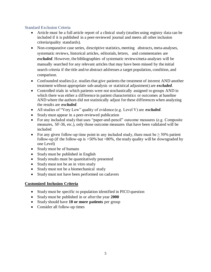## <span id="page-4-0"></span>Standard Exclusion Criteria

- Article must be a full article report of a clinical study (studies using registry data can be included if it is published in a peer-reviewed journal and meets all other inclusion criteria/quality standards).
- Non-comparative case series, descriptive statistics, meeting abstracts, meta-analyses, systematic reviews, historical articles, editorials, letters, and commentaries are *excluded*. However, the bibliographies of systematic reviews/meta-analyses will be manually searched for any relevant articles that may have been missed by the initial search criteria if the title and/or abstract addresses a target population, condition, and comparison.
- Confounded studies (i.e. studies that give patients the treatment of interest AND another treatment without appropriate sub-analysis or statistical adjustment) are *excluded*.
- Controlled trials in which patients were not stochastically assigned to groups AND in which there was either a difference in patient characteristics or outcomes at baseline AND where the authors did not statistically adjust for these differences when analyzing the results are *excluded*.
- All studies of "Very Low" quality of evidence (e.g. Level V) are *excluded*.
- Study must appear in a peer-reviewed publication
- For any included study that uses "paper-and-pencil" outcome measures (e.g. Composite measures, SF-36, etc.), only those outcome measures that have been validated will be included
- For any given follow-up time point in any included study, there must be  $> 50\%$  patient follow-up (if the follow-up is  $>50\%$  but  $<80\%$ , the study quality will be downgraded by one Level)
- Study must be of humans
- Study must be published in English
- Study results must be quantitatively presented
- Study must not be an in vitro study
- Study must not be a biomechanical study
- Study must not have been performed on cadavers

## **Customized Inclusion Criteria**

- Study must be specific to population identified in PICO question
- Study must be published in or after the year **2000**
- Study should have **10 or more patients** per group
- Consider all follow-up times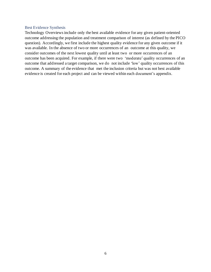#### <span id="page-5-0"></span>Best Evidence Synthesis

Technology Overviewsinclude only the best available evidence for any given patient-oriented outcome addressing the population and treatment comparison of interest (as defined by the PICO question). Accordingly, we first include the highest quality evidence for any given outcome if it was available. In the absence of two or more occurrences of an outcome at this quality, we consider outcomes of the next lowest quality until at least two or more occurrences of an outcome has been acquired. For example, if there were two 'moderate' quality occurrences of an outcome that addressed a target comparison, we do not include 'low' quality occurrences of this outcome. A summary of the evidence that met the inclusion criteria but was not best available evidence is created for each project and can be viewed within each document's appendix.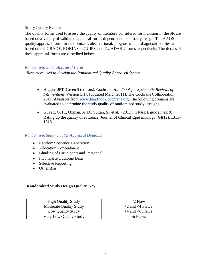### <span id="page-6-0"></span>Study Quality Evaluation

The quality forms used to assess the quality of literature considered for inclusion in the SR are based on a variety of validated appraisal forms dependent on the study design. The AAOS quality appraisal form for randomized, observational, prognostic, and diagnostic studies are based on the GRADE, ROBINS-I, QUIPS, and QUADAS-2 forms respectively. The details of these appraisal forms are described below.

### *Randomized Study Appraisal Form*

*Resources used to develop the Randomized Quality Appraisal System*:

- Higgins JPT, Green S (editors). *Cochrane Handbook for Systematic Reviews of Interventions* Version 5.1.0 [updated March 2011]. The Cochrane Collaboration, 2011. Available from [www.handbook.cochrane.org.](http://www.handbook.cochrane.org/) The following domains are evaluated to determine the study quality of randomized study designs.
- Guyatt, G. H., Oxman, A. D., Sultan, S., et al. (2011). GRADE guidelines: 9. Rating up the quality of evidence. Journal of Clinical Epidemiology, 64(12), 1311– 1316.

#### *Randomized Study Quality Appraisal Domains*

- Random Sequence Generation
- Allocation Concealment
- Blinding of Participants and Personnel
- Incomplete Outcome Data
- Selective Reporting
- Other Bias

## **Randomized Study Design Quality Key**

| <b>High Quality Study</b> | $<$ 2 Flaw           |
|---------------------------|----------------------|
| Moderate Quality Study    | $>2$ and $<$ 4 Flaws |
| Low Quality Study         | $>4$ and $<6$ Flaws  |
| Very Low Quality Study    | $>6$ Flaws           |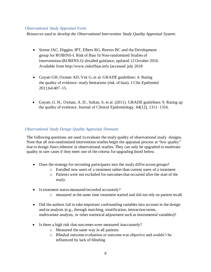#### *Observational Study Appraisal Form*

*Resources used to develop the Observational Intervention Study Quality Appraisal System*:

- Sterne JAC, Higgins JPT, Elbers RG, Reeves BC and the Development group for ROBINS-I. Risk of Bias In Non-randomized Studies of Interventions (ROBINS-I): detailed guidance, updated 12 October 2016. Available from http://www.riskofbias.info [accessed july 2018
- Guyatt GH, Oxman AD, Vist G, et al. GRADE guidelines: 4. Rating the quality of evidence–study limitations (risk of bias). J Clin Epidemiol 2011;64:407–15.
- Guyatt, G. H., Oxman, A. D., Sultan, S, et al. (2011). GRADE guidelines: 9. Rating up the quality of evidence. Journal of Clinical Epidemiology, 64(12), 1311–1316.

### *Observational Study Design Quality Appraisal Domains*

The following questions are used to evaluate the study quality of observational study designs. Note that all non-randomized intervention studies begin the appraisal process at "low quality" due to design flawsinherent in observational studies. They can only be upgraded to moderate quality in rare cases if they meet one of the criteria for upgrading listed below.

- Does the strategy for recruiting participants into the study differ across groups?
	- o Enrolled new users of a treatment rather than current users of a treatment
	- o Patients were not excluded for outcomes that occurred after the start of the study.
- Is treatment status measured/recorded accurately?
	- o measured at the same time treatment started and did not rely on patient recall.
- Did the authors fail to take important confounding variables into account in the design and/or analysis (e.g., through matching, stratification, interaction terms, multivariate analysis, or other statistical adjustment such as instrumental variables)?
- Is there a high risk that outcomes were measured inaccurately?
	- o Measured the same way in all patients
	- o Blinded outcome evaluation or outcome was objective and couldn't be influenced by lack of blinding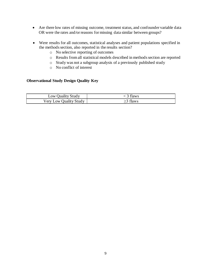- Are there low rates of missing outcome, treatment status, and confounder variable data OR were the rates and/or reasons for missing data similar between groups?
- Were results for all outcomes, statistical analyses and patient populations specified in the methods section, also reported in the results section?
	- o No selective reporting of outcomes
	- o Results from all statistical models described in methods section are reported
	- o Study was not a subgroup analysis of a previously published study
	- o No conflict of interest

## **Observational Study Design Quality Key**

| Low Quality Study      | 3 flaws  |
|------------------------|----------|
| Very Low Quality Study | >3 flaws |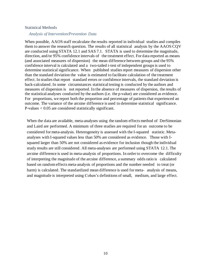#### <span id="page-9-0"></span>Statistical Methods

#### *Analysis of Intervention/Prevention Data*

When possible, AAOS staff recalculate the results reported in individual studies and compiles them to answer the research question. The results of all statistical analysis by the AAOS CQV are conducted using STATA 12.1 and SAS 7.1. STATA is used to determine the magnitude, direction, and/or 95% confidence intervals of the treatment effect. For data reported as means (and associated measures of dispersion) the mean difference between groups and the 95% confidence interval is calculated and a two-tailed t-test of independent groups is used to determine statistical significance. When published studiesreport measures of dispersion other than the standard deviation the value is estimated to facilitate calculation of the treatment effect. In studies that report standard errors or confidence intervals, the standard deviation is back-calculated. In some circumstances statistical testing is conducted by the authors and measures of dispersion is not reported. In the absence of measures of dispersion, the results of the statistical analyses conducted by the authors (i.e. the p-value) are considered as evidence. For proportions, we report both the proportion and percentage of patients that experienced an outcome. The variance of the arcsine difference is used to determine statistical significance. P-values < 0.05 are considered statistically significant.

When the data are available, meta-analyses using the random effects method of DerSimonian and Laird are performed. A minimum of three studies are required for an outcome to be considered for meta-analysis. Heterogeneity is assessed with the I-squared statistic. Metaanalyses with I-squared values less than 50% are considered as evidence. Those with Isquared larger than 50% are not considered as evidence for inclusion though the individual study results are still considered. All meta-analyses are performed using STATA 12.1. The arcsine difference is used in meta-analysis of proportions. In order to overcome the difficulty of interpreting the magnitude of the arcsine difference, a summary odds ratio is calculated based on random effects meta-analysis of proportions and the number needed to treat (or harm) is calculated. The standardized mean difference is used for meta- analysis of means, and magnitude is interpreted using Cohen's definitions of small, medium, and large effect.